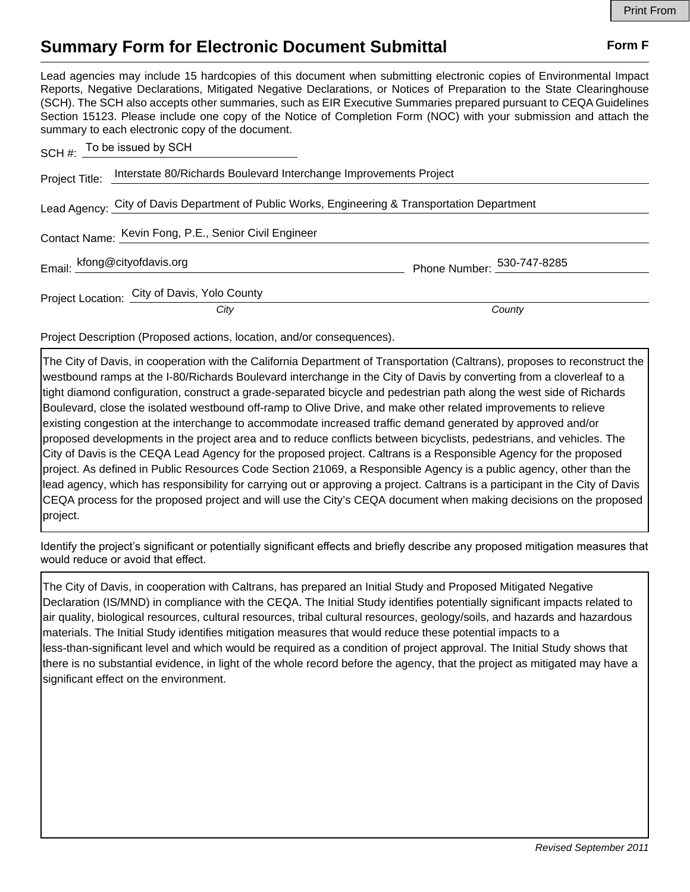## **Summary Form for Electronic Document Submittal Form F Form F**

Lead agencies may include 15 hardcopies of this document when submitting electronic copies of Environmental Impact Reports, Negative Declarations, Mitigated Negative Declarations, or Notices of Preparation to the State Clearinghouse (SCH). The SCH also accepts other summaries, such as EIR Executive Summaries prepared pursuant to CEQA Guidelines Section 15123. Please include one copy of the Notice of Completion Form (NOC) with your submission and attach the summary to each electronic copy of the document. To be issued by SCH

|                | $SCH #:$ TO be issued by SCIT                                                                  |                            |
|----------------|------------------------------------------------------------------------------------------------|----------------------------|
| Project Title: | Interstate 80/Richards Boulevard Interchange Improvements Project                              |                            |
|                | Lead Agency: City of Davis Department of Public Works, Engineering & Transportation Department |                            |
|                | Contact Name: Kevin Fong, P.E., Senior Civil Engineer                                          |                            |
|                | Email: kfong@cityofdavis.org                                                                   | Phone Number: 530-747-8285 |
|                | Project Location: City of Davis, Yolo County                                                   |                            |
|                | City                                                                                           | County                     |

Project Description (Proposed actions, location, and/or consequences).

The City of Davis, in cooperation with the California Department of Transportation (Caltrans), proposes to reconstruct the westbound ramps at the I-80/Richards Boulevard interchange in the City of Davis by converting from a cloverleaf to a tight diamond configuration, construct a grade-separated bicycle and pedestrian path along the west side of Richards Boulevard, close the isolated westbound off-ramp to Olive Drive, and make other related improvements to relieve existing congestion at the interchange to accommodate increased traffic demand generated by approved and/or proposed developments in the project area and to reduce conflicts between bicyclists, pedestrians, and vehicles. The City of Davis is the CEQA Lead Agency for the proposed project. Caltrans is a Responsible Agency for the proposed project. As defined in Public Resources Code Section 21069, a Responsible Agency is a public agency, other than the lead agency, which has responsibility for carrying out or approving a project. Caltrans is a participant in the City of Davis CEQA process for the proposed project and will use the City's CEQA document when making decisions on the proposed project.

Identify the project's significant or potentially significant effects and briefly describe any proposed mitigation measures that would reduce or avoid that effect.

The City of Davis, in cooperation with Caltrans, has prepared an Initial Study and Proposed Mitigated Negative Declaration (IS/MND) in compliance with the CEQA. The Initial Study identifies potentially significant impacts related to air quality, biological resources, cultural resources, tribal cultural resources, geology/soils, and hazards and hazardous materials. The Initial Study identifies mitigation measures that would reduce these potential impacts to a less-than-significant level and which would be required as a condition of project approval. The Initial Study shows that there is no substantial evidence, in light of the whole record before the agency, that the project as mitigated may have a significant effect on the environment.